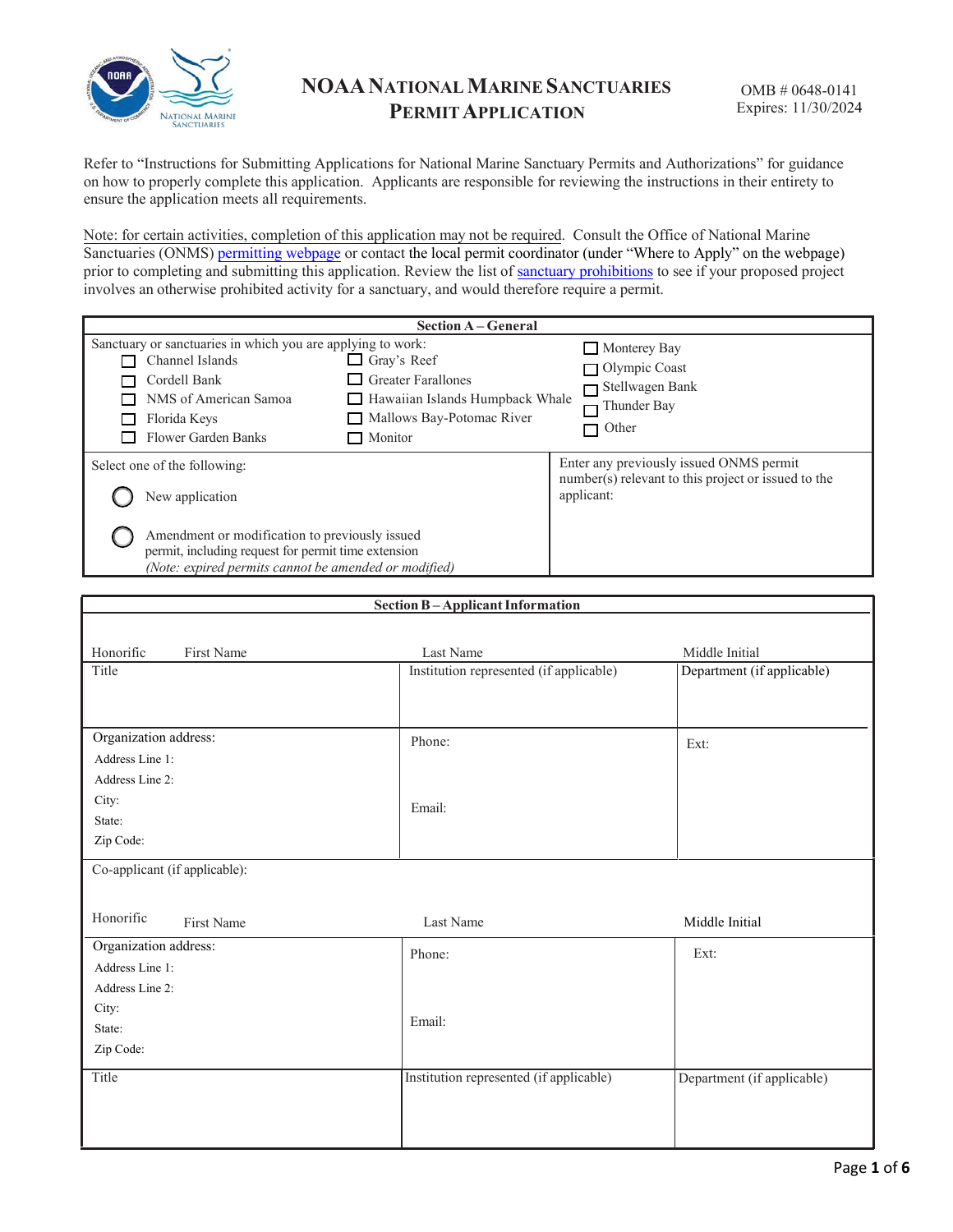

Refer to "Instructions for Submitting Applications for National Marine Sanctuary Permits and Authorizations" for guidance on how to properly complete this application. Applicants are responsible for reviewing the instructions in their entirety to ensure the application meets all requirements.

Note: for certain activities, completion of this application may not be required. Consult the Office of National Marine Sanctuaries (ONMS) [permitting](https://sanctuaries.noaa.gov/management/permits/) webpage or contact the local permit coordinator (under "Where to Apply" on the webpage) prior to completing and submitting this application. Review the list of sanctuary [prohibitions](https://gov.ecfr.io/cgi-bin/text-idx?SID=8d1167387a2f2a09e224868218eddef9&mc=true&tpl=/ecfrbrowse/Title15/15cfr922_main_02.tpl) to see if your proposed project involves an otherwise prohibited activity for a sanctuary, and would therefore require a permit.

| <b>Section A-General</b>                                                                                                                                                                                                                                                                     |                                                                                                              |  |  |  |
|----------------------------------------------------------------------------------------------------------------------------------------------------------------------------------------------------------------------------------------------------------------------------------------------|--------------------------------------------------------------------------------------------------------------|--|--|--|
| Sanctuary or sanctuaries in which you are applying to work:<br>$\Box$ Gray's Reef<br>Channel Islands<br>$\Box$ Greater Farallones<br>Cordell Bank<br>NMS of American Samoa<br>Hawaiian Islands Humpback Whale<br>Mallows Bay-Potomac River<br>Florida Keys<br>Flower Garden Banks<br>Monitor | Monterey Bay<br>Olympic Coast<br>Stellwagen Bank<br>Thunder Bay<br>Other                                     |  |  |  |
| Select one of the following:<br>New application                                                                                                                                                                                                                                              | Enter any previously issued ONMS permit<br>number(s) relevant to this project or issued to the<br>applicant: |  |  |  |
| Amendment or modification to previously issued<br>permit, including request for permit time extension<br>(Note: expired permits cannot be amended or modified)                                                                                                                               |                                                                                                              |  |  |  |

| <b>Section B-Applicant Information</b> |                                         |                            |  |  |  |
|----------------------------------------|-----------------------------------------|----------------------------|--|--|--|
|                                        |                                         |                            |  |  |  |
| Honorific<br>First Name                | Last Name                               | Middle Initial             |  |  |  |
| Title                                  | Institution represented (if applicable) | Department (if applicable) |  |  |  |
|                                        |                                         |                            |  |  |  |
|                                        |                                         |                            |  |  |  |
| Organization address:                  | Phone:                                  | Ext:                       |  |  |  |
| Address Line 1:                        |                                         |                            |  |  |  |
| Address Line 2:                        |                                         |                            |  |  |  |
| City:                                  | Email:                                  |                            |  |  |  |
| State:                                 |                                         |                            |  |  |  |
| Zip Code:                              |                                         |                            |  |  |  |
| Co-applicant (if applicable):          |                                         |                            |  |  |  |
|                                        |                                         |                            |  |  |  |
| Honorific<br>First Name                | Last Name                               | Middle Initial             |  |  |  |
|                                        |                                         |                            |  |  |  |
| Organization address:                  | Phone:                                  | Ext:                       |  |  |  |
| Address Line 1:                        |                                         |                            |  |  |  |
| Address Line 2:                        |                                         |                            |  |  |  |
| City:                                  | Email:                                  |                            |  |  |  |
| State:                                 |                                         |                            |  |  |  |
| Zip Code:                              |                                         |                            |  |  |  |
| Title                                  | Institution represented (if applicable) | Department (if applicable) |  |  |  |
|                                        |                                         |                            |  |  |  |
|                                        |                                         |                            |  |  |  |
|                                        |                                         |                            |  |  |  |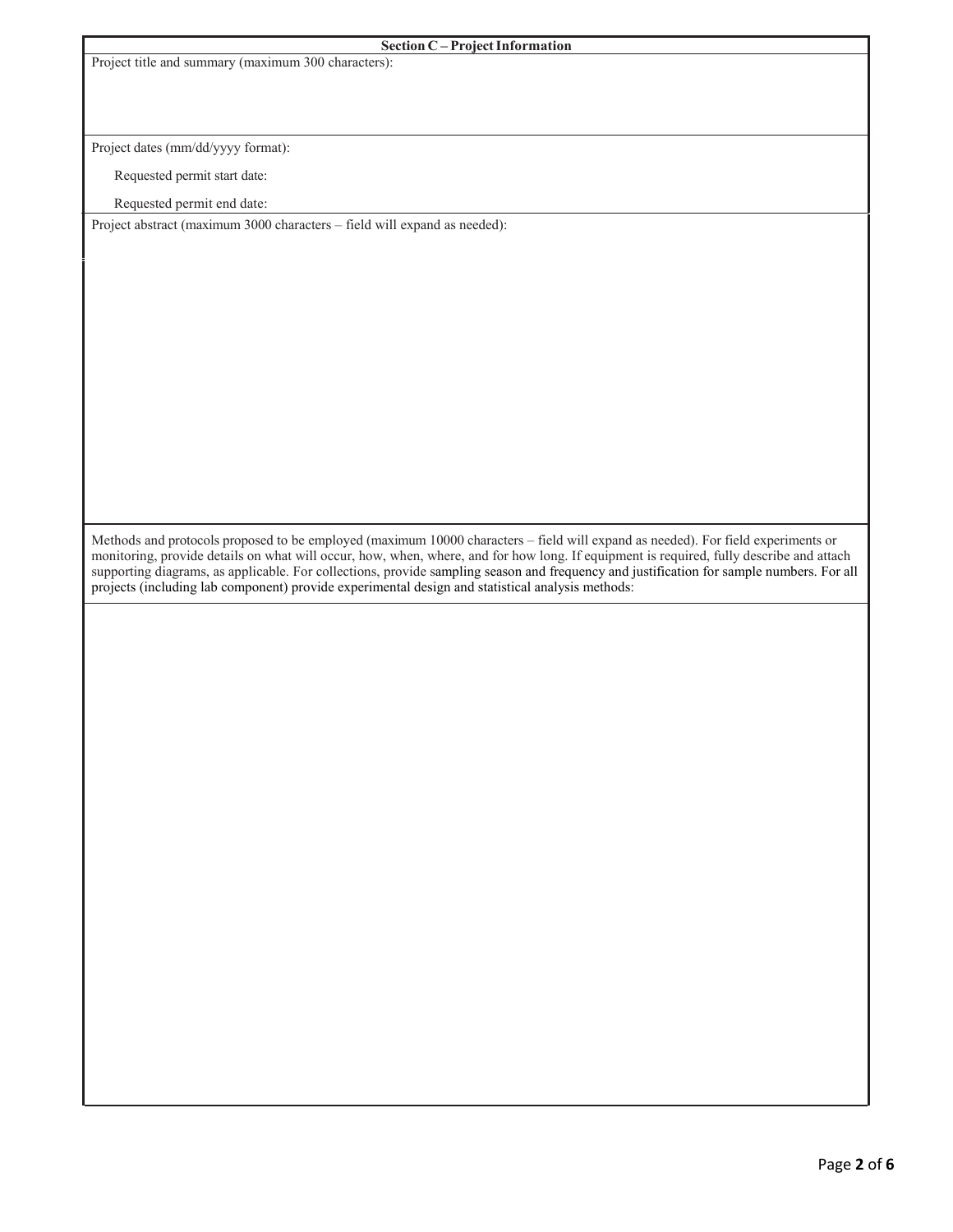|  |  | Project title and summary (maximum 300 characters): |  |
|--|--|-----------------------------------------------------|--|
|  |  |                                                     |  |

## **Section C** – **Project Information**

Project dates (mm/dd/yyyy format):

Requested permit start date:

Requested permit end date:

Project abstract (maximum 3000 characters – field will expand as needed):

Methods and protocols proposed to be employed (maximum 10000 characters – field will expand as needed). For field experiments or monitoring, provide details on what will occur, how, when, where, and for how long. If equipment is required, fully describe and attach supporting diagrams, as applicable. For collections, provide sampling season and frequency and justification for sample numbers. For all projects (including lab component) provide experimental design and statistical analysis methods: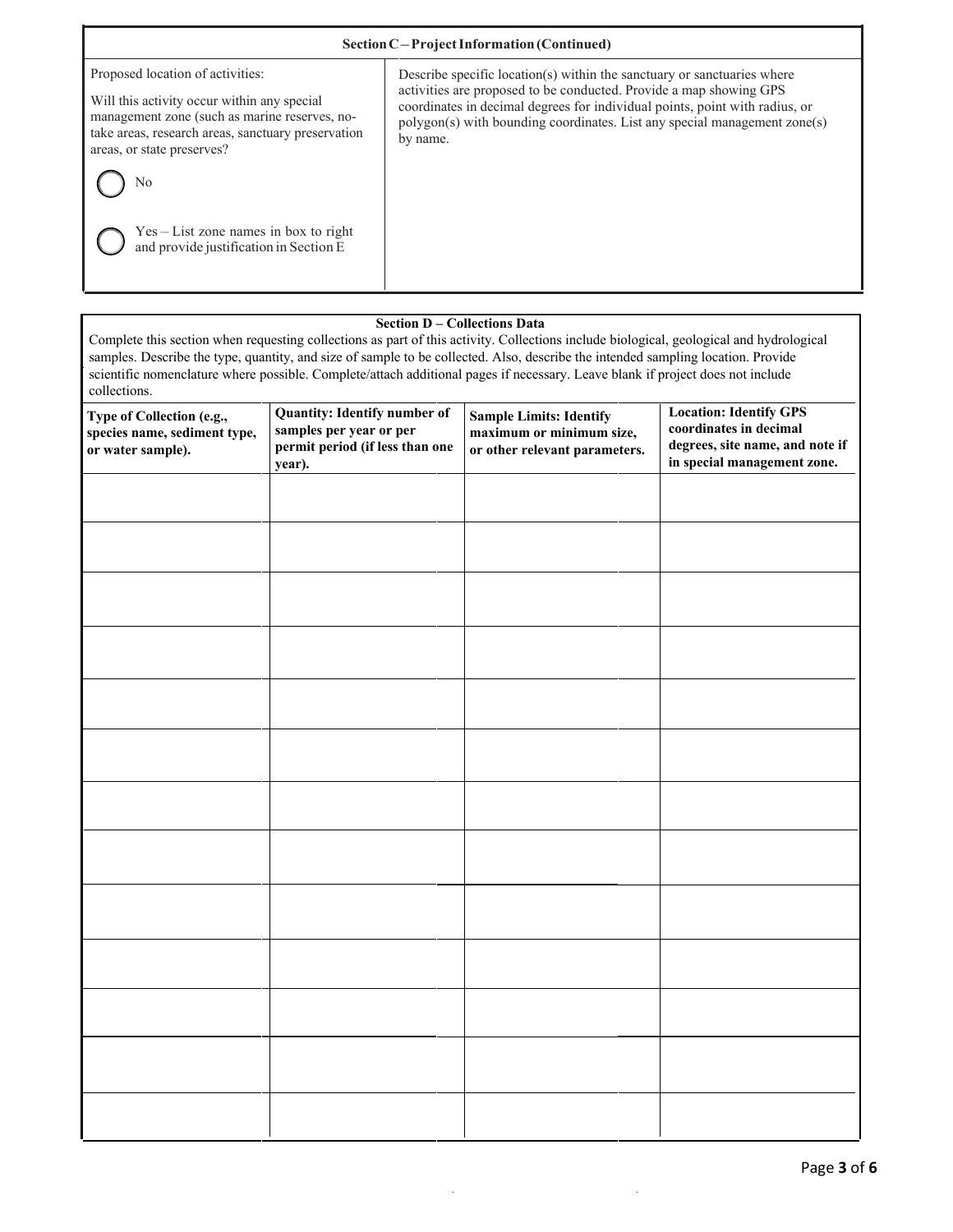| Section C-Project Information (Continued)                                                                                                                                                                            |                                                                                                                                                                                                                                                                                                                       |  |  |  |
|----------------------------------------------------------------------------------------------------------------------------------------------------------------------------------------------------------------------|-----------------------------------------------------------------------------------------------------------------------------------------------------------------------------------------------------------------------------------------------------------------------------------------------------------------------|--|--|--|
| Proposed location of activities:<br>Will this activity occur within any special<br>management zone (such as marine reserves, no-<br>take areas, research areas, sanctuary preservation<br>areas, or state preserves? | Describe specific location(s) within the sanctuary or sanctuaries where<br>activities are proposed to be conducted. Provide a map showing GPS<br>coordinates in decimal degrees for individual points, point with radius, or<br>polygon(s) with bounding coordinates. List any special management zone(s)<br>by name. |  |  |  |
| Nο<br>Yes – List zone names in box to right<br>and provide justification in Section E                                                                                                                                |                                                                                                                                                                                                                                                                                                                       |  |  |  |

# **Section D – Collections Data**

Complete this section when requesting collections as part of this activity. Collections include biological, geological and hydrological samples. Describe the type, quantity, and size of sample to be collected. Also, describe the intended sampling location. Provide scientific nomenclature where possible. Complete/attach additional pages if necessary. Leave blank if project does not include collections.

| Type of Collection (e.g.,<br>species name, sediment type,<br>or water sample). | <b>Quantity: Identify number of</b><br>samples per year or per<br>permit period (if less than one<br>year). | <b>Sample Limits: Identify</b><br>maximum or minimum size,<br>or other relevant parameters. | <b>Location: Identify GPS</b><br>coordinates in decimal<br>degrees, site name, and note if<br>in special management zone. |
|--------------------------------------------------------------------------------|-------------------------------------------------------------------------------------------------------------|---------------------------------------------------------------------------------------------|---------------------------------------------------------------------------------------------------------------------------|
|                                                                                |                                                                                                             |                                                                                             |                                                                                                                           |
|                                                                                |                                                                                                             |                                                                                             |                                                                                                                           |
|                                                                                |                                                                                                             |                                                                                             |                                                                                                                           |
|                                                                                |                                                                                                             |                                                                                             |                                                                                                                           |
|                                                                                |                                                                                                             |                                                                                             |                                                                                                                           |
|                                                                                |                                                                                                             |                                                                                             |                                                                                                                           |
|                                                                                |                                                                                                             |                                                                                             |                                                                                                                           |
|                                                                                |                                                                                                             |                                                                                             |                                                                                                                           |
|                                                                                |                                                                                                             |                                                                                             |                                                                                                                           |
|                                                                                |                                                                                                             |                                                                                             |                                                                                                                           |
|                                                                                |                                                                                                             |                                                                                             |                                                                                                                           |
|                                                                                |                                                                                                             |                                                                                             |                                                                                                                           |
|                                                                                |                                                                                                             |                                                                                             |                                                                                                                           |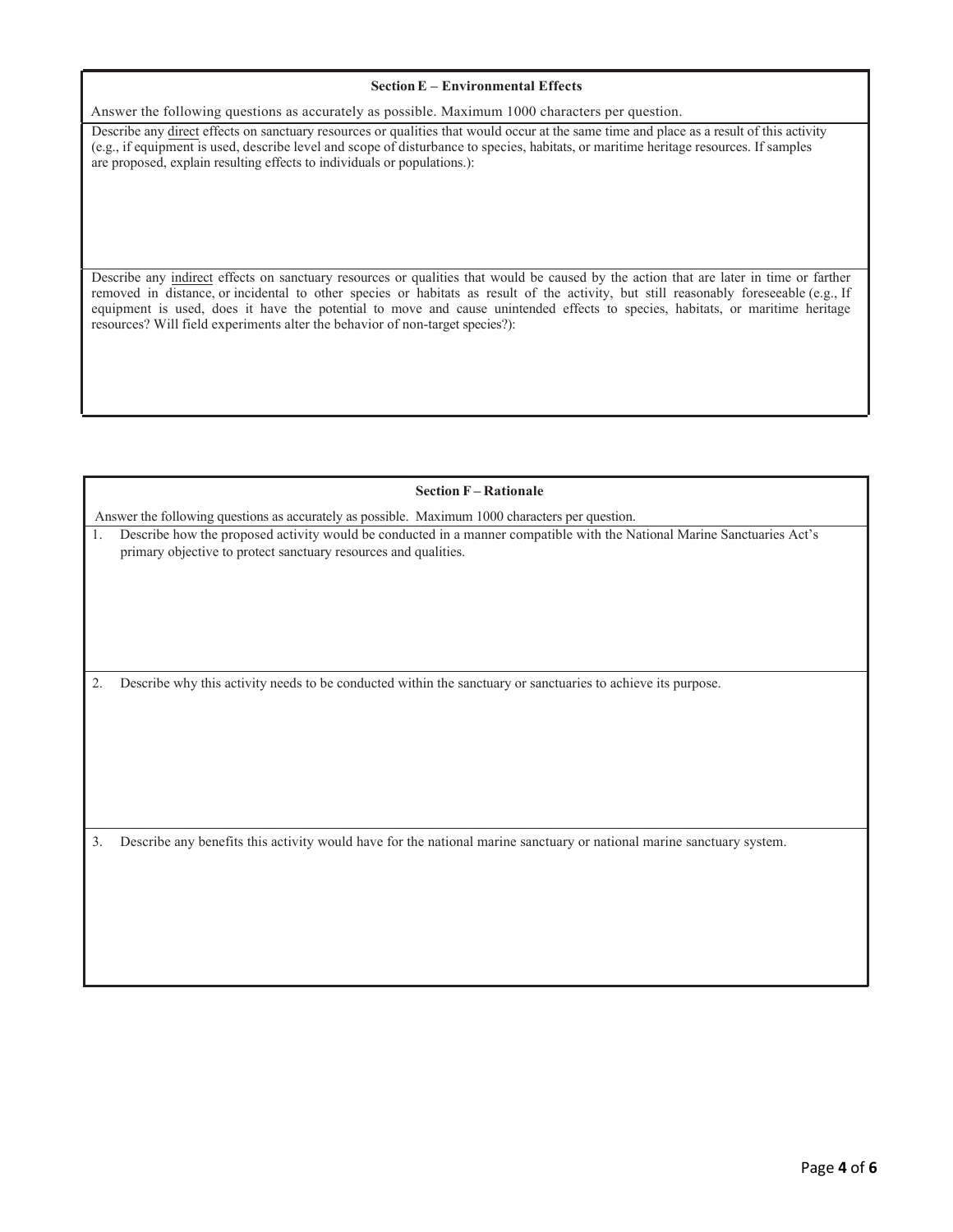#### **SectionE – Environmental Effects**

 Answer the following questions as accurately as possible. Maximum 1000 characters per question.

Describe any direct effects on sanctuary resources or qualities that would occur at the same time and place as a result of this activity (e.g., if equipment is used, describe level and scope of disturbance to species, habitats, or maritime heritage resources. If samples are proposed, explain resulting effects to individuals or populations.):

Describe any indirect effects on sanctuary resources or qualities that would be caused by the action that are later in time or farther removed in distance, or incidental to other species or habitats as result of the activity, but still reasonably foreseeable (e.g., If equipment is used, does it have the potential to move and cause unintended effects to species, habitats, or maritime heritage resources? Will field experiments alter the behavior of non-target species?):

### **Section F – Rationale**

Answer the following questions as accurately as possible. Maximum 1000 characters per question.

1. Describe how the proposed activity would be conducted in a manner compatible with the National Marine Sanctuaries Act's primary objective to protect sanctuary resources and qualities.

2. Describe why this activity needs to be conducted within the sanctuary or sanctuaries to achieve its purpose.

3. Describe any benefits this activity would have for the national marine sanctuary or national marine sanctuary system.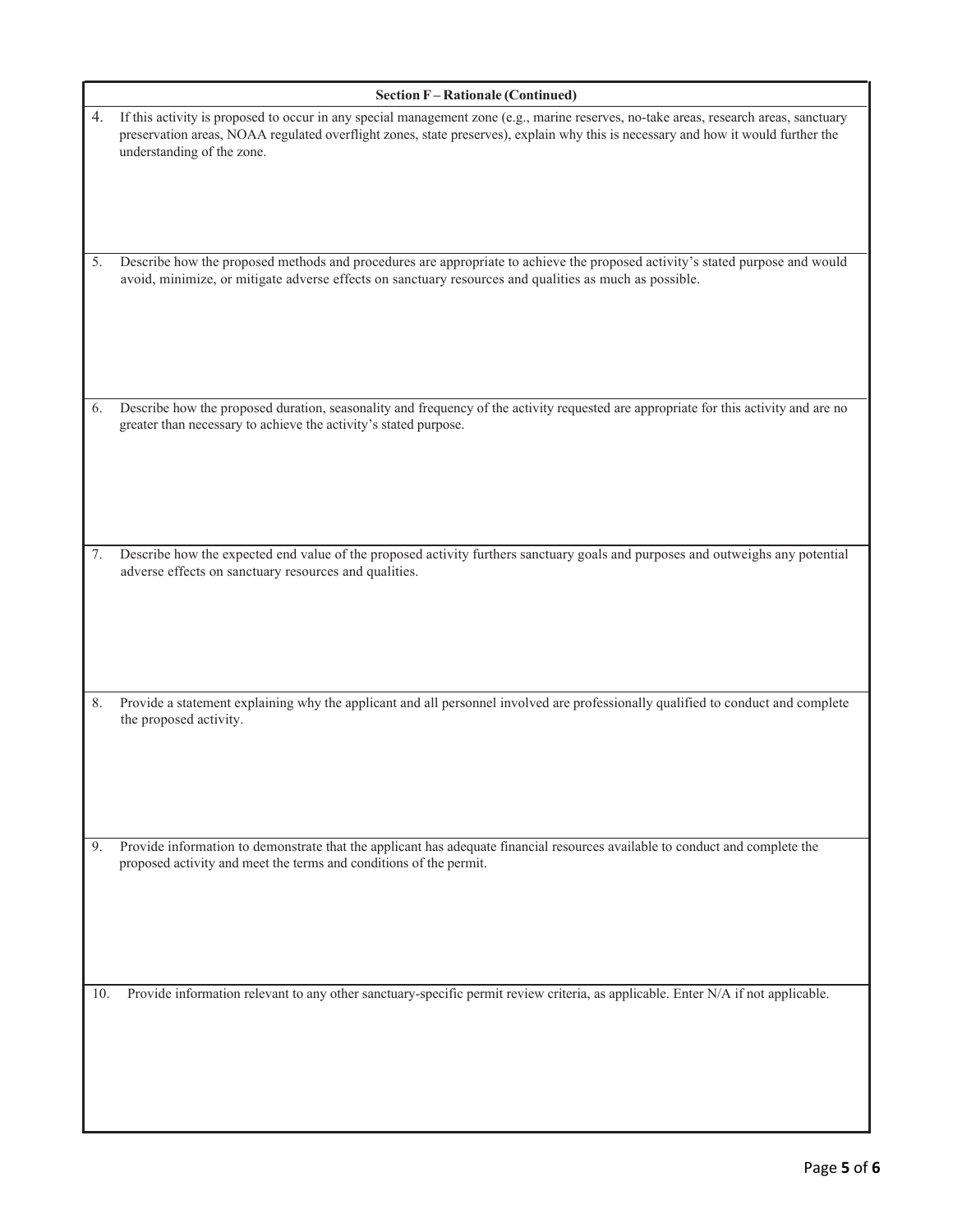|     | <b>Section F-Rationale (Continued)</b>                                                                                                                                                                                                                                                                   |  |  |  |  |
|-----|----------------------------------------------------------------------------------------------------------------------------------------------------------------------------------------------------------------------------------------------------------------------------------------------------------|--|--|--|--|
| 4.  | If this activity is proposed to occur in any special management zone (e.g., marine reserves, no-take areas, research areas, sanctuary<br>preservation areas, NOAA regulated overflight zones, state preserves), explain why this is necessary and how it would further the<br>understanding of the zone. |  |  |  |  |
| 5.  | Describe how the proposed methods and procedures are appropriate to achieve the proposed activity's stated purpose and would<br>avoid, minimize, or mitigate adverse effects on sanctuary resources and qualities as much as possible.                                                                   |  |  |  |  |
| 6.  | Describe how the proposed duration, seasonality and frequency of the activity requested are appropriate for this activity and are no<br>greater than necessary to achieve the activity's stated purpose.                                                                                                 |  |  |  |  |
| 7.  | Describe how the expected end value of the proposed activity furthers sanctuary goals and purposes and outweighs any potential<br>adverse effects on sanctuary resources and qualities.                                                                                                                  |  |  |  |  |
| 8.  | Provide a statement explaining why the applicant and all personnel involved are professionally qualified to conduct and complete<br>the proposed activity.                                                                                                                                               |  |  |  |  |
| 9.  | Provide information to demonstrate that the applicant has adequate financial resources available to conduct and complete the<br>proposed activity and meet the terms and conditions of the permit.                                                                                                       |  |  |  |  |
| 10. | Provide information relevant to any other sanctuary-specific permit review criteria, as applicable. Enter N/A if not applicable.                                                                                                                                                                         |  |  |  |  |